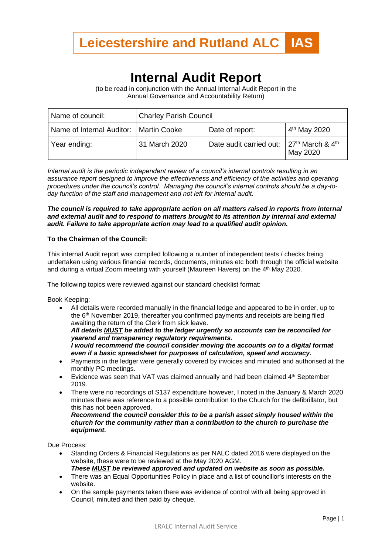

# **Internal Audit Report**

(to be read in conjunction with the Annual Internal Audit Report in the Annual Governance and Accountability Return)

| Name of council:                         | <b>Charley Parish Council</b> |                         |                                            |
|------------------------------------------|-------------------------------|-------------------------|--------------------------------------------|
| Name of Internal Auditor:   Martin Cooke |                               | Date of report:         | $4th$ May 2020                             |
| Year ending:                             | 31 March 2020                 | Date audit carried out: | $27th$ March & 4 <sup>th</sup><br>May 2020 |

*Internal audit is the periodic independent review of a council's internal controls resulting in an assurance report designed to improve the effectiveness and efficiency of the activities and operating procedures under the council's control. Managing the council's internal controls should be a day-today function of the staff and management and not left for internal audit.*

# *The council is required to take appropriate action on all matters raised in reports from internal and external audit and to respond to matters brought to its attention by internal and external audit. Failure to take appropriate action may lead to a qualified audit opinion.*

### **To the Chairman of the Council:**

This internal Audit report was compiled following a number of independent tests / checks being undertaken using various financial records, documents, minutes etc both through the official website and during a virtual Zoom meeting with yourself (Maureen Havers) on the 4th May 2020.

The following topics were reviewed against our standard checklist format:

Book Keeping:

• All details were recorded manually in the financial ledge and appeared to be in order, up to the 6 th November 2019, thereafter you confirmed payments and receipts are being filed awaiting the return of the Clerk from sick leave. *All details MUST be added to the ledger urgently so accounts can be reconciled for yearend and transparency regulatory requirements.* 

*I would recommend the council consider moving the accounts on to a digital format even if a basic spreadsheet for purposes of calculation, speed and accuracy.*

- Payments in the ledger were generally covered by invoices and minuted and authorised at the monthly PC meetings.
- Evidence was seen that VAT was claimed annually and had been claimed  $4<sup>th</sup>$  September 2019.
- There were no recordings of S137 expenditure however, I noted in the January & March 2020 minutes there was reference to a possible contribution to the Church for the defibrillator, but this has not been approved.

*Recommend the council consider this to be a parish asset simply housed within the church for the community rather than a contribution to the church to purchase the equipment.*

Due Process:

- Standing Orders & Financial Regulations as per NALC dated 2016 were displayed on the website, these were to be reviewed at the May 2020 AGM.
- *These MUST be reviewed approved and updated on website as soon as possible.*
- There was an Equal Opportunities Policy in place and a list of councillor's interests on the website.
- On the sample payments taken there was evidence of control with all being approved in Council, minuted and then paid by cheque.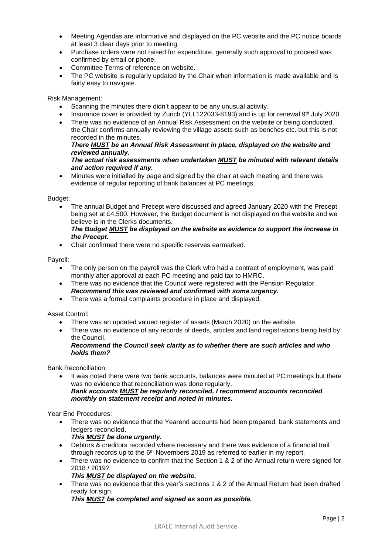- Meeting Agendas are informative and displayed on the PC website and the PC notice boards at least 3 clear days prior to meeting.
- Purchase orders were not raised for expenditure, generally such approval to proceed was confirmed by email or phone.
- Committee Terms of reference on website.
- The PC website is regularly updated by the Chair when information is made available and is fairly easy to navigate.

Risk Management:

- Scanning the minutes there didn't appear to be any unusual activity.
- Insurance cover is provided by Zurich (YLL122033-8193) and is up for renewal 9<sup>th</sup> July 2020.
- There was no evidence of an Annual Risk Assessment on the website or being conducted. the Chair confirms annually reviewing the village assets such as benches etc. but this is not recorded in the minutes.

# *There MUST be an Annual Risk Assessment in place, displayed on the website and reviewed annually.*

# *The actual risk assessments when undertaken MUST be minuted with relevant details and action required if any.*

• Minutes were initialled by page and signed by the chair at each meeting and there was evidence of regular reporting of bank balances at PC meetings.

Budget:

• The annual Budget and Precept were discussed and agreed January 2020 with the Precept being set at £4,500. However, the Budget document is not displayed on the website and we believe is in the Clerks documents.

# *The Budget MUST be displayed on the website as evidence to support the increase in the Precept.*

• Chair confirmed there were no specific reserves earmarked.

Payroll:

- The only person on the payroll was the Clerk who had a contract of employment, was paid monthly after approval at each PC meeting and paid tax to HMRC.
- There was no evidence that the Council were registered with the Pension Regulator. *Recommend this was reviewed and confirmed with some urgency.*
- There was a formal complaints procedure in place and displayed.

### Asset Control:

- There was an updated valued register of assets (March 2020) on the website.
- There was no evidence of any records of deeds, articles and land registrations being held by the Council.

# *Recommend the Council seek clarity as to whether there are such articles and who holds them?*

Bank Reconciliation:

It was noted there were two bank accounts, balances were minuted at PC meetings but there was no evidence that reconciliation was done regularly. *Bank accounts MUST be regularly reconciled, I recommend accounts reconciled monthly on statement receipt and noted in minutes.*

Year End Procedures:

• There was no evidence that the Yearend accounts had been prepared, bank statements and ledgers reconciled.

*This MUST be done urgently.*

- Debtors & creditors recorded where necessary and there was evidence of a financial trail through records up to the  $6<sup>th</sup>$  Novembers 2019 as referred to earlier in my report.
- There was no evidence to confirm that the Section 1 & 2 of the Annual return were signed for 2018 / 2019?
	- *This MUST be displayed on the website.*
- There was no evidence that this year's sections 1 & 2 of the Annual Return had been drafted ready for sign.

*This MUST be completed and signed as soon as possible.*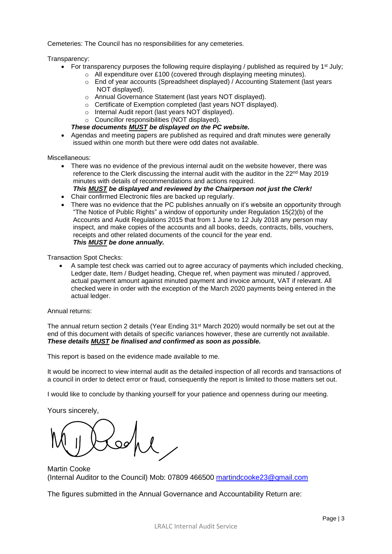Cemeteries: The Council has no responsibilities for any cemeteries.

Transparency:

- For transparency purposes the following require displaying / published as required by  $1<sup>st</sup>$  July;
	- o All expenditure over £100 (covered through displaying meeting minutes).
	- o End of year accounts (Spreadsheet displayed) / Accounting Statement (last years NOT displayed).
	- o Annual Governance Statement (last years NOT displayed).
	- o Certificate of Exemption completed (last years NOT displayed).
	- o Internal Audit report (last years NOT displayed).
	- o Councillor responsibilities (NOT displayed).
	- *These documents MUST be displayed on the PC website.*
- Agendas and meeting papers are published as required and draft minutes were generally issued within one month but there were odd dates not available.

Miscellaneous:

- There was no evidence of the previous internal audit on the website however, there was reference to the Clerk discussing the internal audit with the auditor in the  $22<sup>nd</sup>$  May 2019 minutes with details of recommendations and actions required. *This MUST be displayed and reviewed by the Chairperson not just the Clerk!*
- 
- Chair confirmed Electronic files are backed up regularly.
- There was no evidence that the PC publishes annually on it's website an opportunity through "The Notice of Public Rights" a window of opportunity under Regulation 15(2)(b) of the Accounts and Audit Regulations 2015 that from 1 June to 12 July 2018 any person may inspect, and make copies of the accounts and all books, deeds, contracts, bills, vouchers, receipts and other related documents of the council for the year end. *This MUST be done annually.*

Transaction Spot Checks:

• A sample test check was carried out to agree accuracy of payments which included checking, Ledger date, Item / Budget heading, Cheque ref, when payment was minuted / approved, actual payment amount against minuted payment and invoice amount, VAT if relevant. All checked were in order with the exception of the March 2020 payments being entered in the actual ledger.

Annual returns:

The annual return section 2 details (Year Ending 31st March 2020) would normally be set out at the end of this document with details of specific variances however, these are currently not available. *These details MUST be finalised and confirmed as soon as possible.*

This report is based on the evidence made available to me.

It would be incorrect to view internal audit as the detailed inspection of all records and transactions of a council in order to detect error or fraud, consequently the report is limited to those matters set out.

I would like to conclude by thanking yourself for your patience and openness during our meeting.

Yours sincerely,

Martin Cooke (Internal Auditor to the Council) Mob: 07809 466500 [martindcooke23@gmail.com](mailto:martindcooke23@gmail.com)

The figures submitted in the Annual Governance and Accountability Return are: